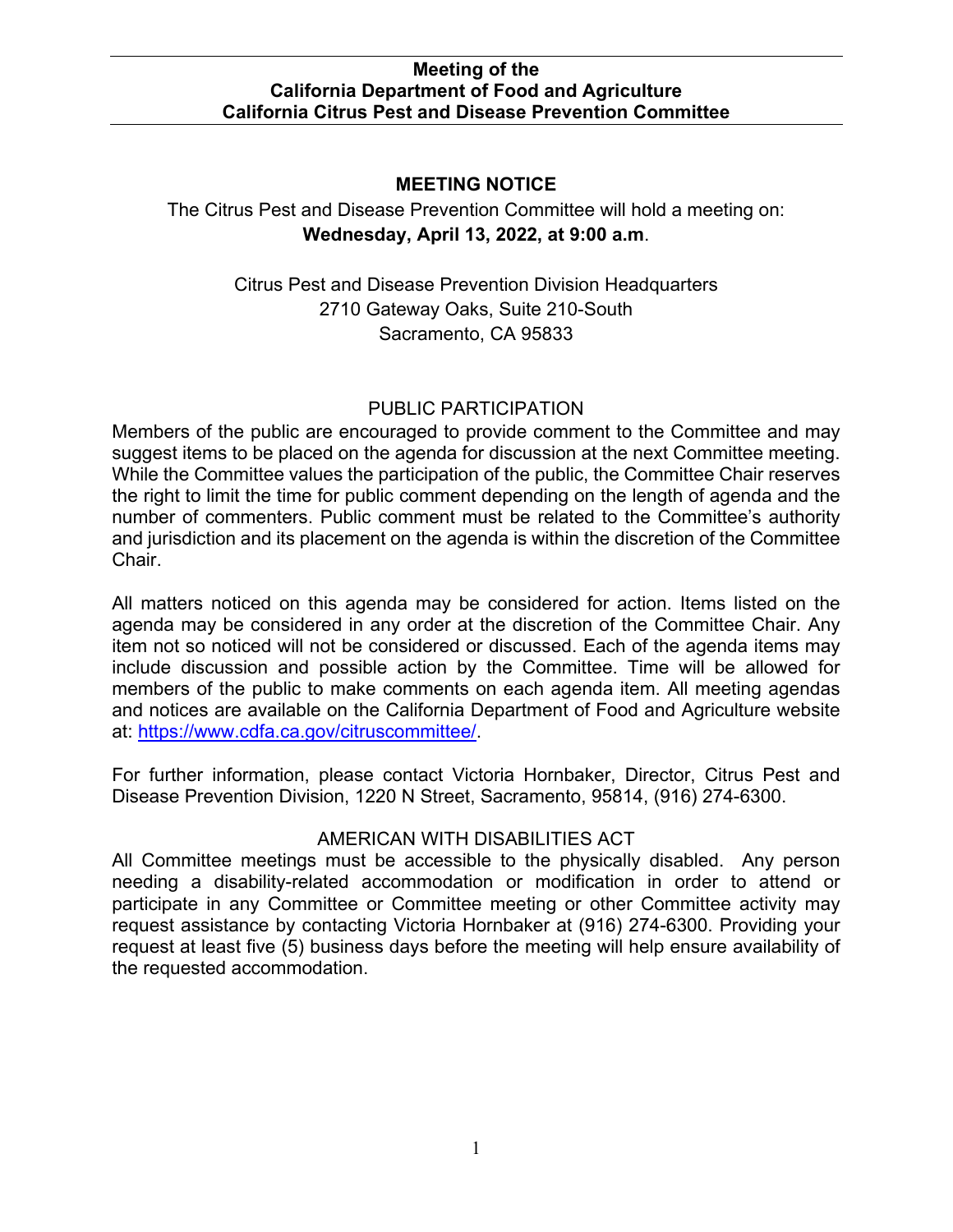# **MEETING NOTICE**

 **Wednesday, April 13, 2022, at 9:00 a.m**. The Citrus Pest and Disease Prevention Committee will hold a meeting on:

> Sacramento, CA 95833 Citrus Pest and Disease Prevention Division Headquarters 2710 Gateway Oaks, Suite 210-South

# PUBLIC PARTICIPATION

 number of commenters. Public comment must be related to the Committee's authority Members of the public are encouraged to provide comment to the Committee and may suggest items to be placed on the agenda for discussion at the next Committee meeting. While the Committee values the participation of the public, the Committee Chair reserves the right to limit the time for public comment depending on the length of agenda and the and jurisdiction and its placement on the agenda is within the discretion of the Committee Chair.

All matters noticed on this agenda may be considered for action. Items listed on the agenda may be considered in any order at the discretion of the Committee Chair. Any item not so noticed will not be considered or discussed. Each of the agenda items may include discussion and possible action by the Committee. Time will be allowed for members of the public to make comments on each agenda item. All meeting agendas and notices are available on the California Department of Food and Agriculture website at: [https://www.cdfa.ca.gov/citruscommittee/.](https://www.cdfa.ca.gov/citruscommittee/)

For further information, please contact Victoria Hornbaker, Director, Citrus Pest and Disease Prevention Division, 1220 N Street, Sacramento, 95814, (916) 274-6300.

# AMERICAN WITH DISABILITIES ACT

All Committee meetings must be accessible to the physically disabled. Any person needing a disability-related accommodation or modification in order to attend or participate in any Committee or Committee meeting or other Committee activity may request assistance by contacting Victoria Hornbaker at (916) 274-6300. Providing your request at least five (5) business days before the meeting will help ensure availability of the requested accommodation.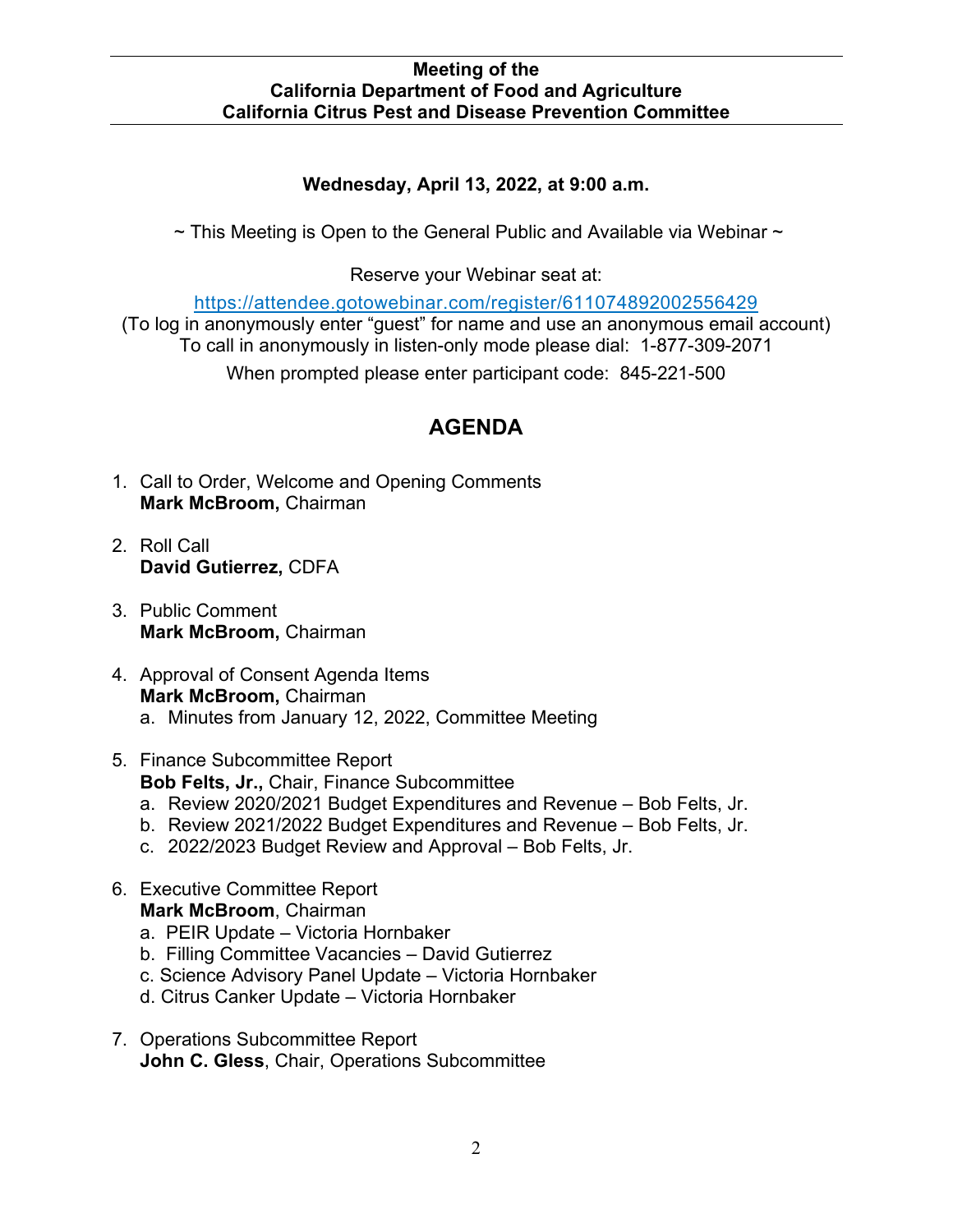# **Wednesday, April 13, 2022, at 9:00 a.m.**

 $\sim$  This Meeting is Open to the General Public and Available via Webinar  $\sim$ 

Reserve your Webinar seat at:

[https://attendee.gotowebinar.com/register/611074892002556429](https://gcc02.safelinks.protection.outlook.com/?url=https%3A%2F%2Fattendee.gotowebinar.com%2Fregister%2F611074892002556429&data=04%7C01%7CDavid.Gutierrez%40cdfa.ca.gov%7C0402800f9d3647f7a2df08d8fba12b67%7Cafdfd251a22248978cbaae68cabfffbc%7C0%7C0%7C637536016924515772%7CUnknown%7CTWFpbGZsb3d8eyJWIjoiMC4wLjAwMDAiLCJQIjoiV2luMzIiLCJBTiI6Ik1haWwiLCJXVCI6Mn0%3D%7C1000&sdata=9w4V2Kz2mCwSzUyAK8FffIi%2B004ysGHisVu2V7Gnqrs%3D&reserved=0) 

 To call in anonymously in listen-only mode please dial: 1-877-309-2071 (To log in anonymously enter "guest" for name and use an anonymous email account)

When prompted please enter participant code: 845-221-500

# **AGENDA**

- **Mark McBroom,** Chairman 1. Call to Order, Welcome and Opening Comments
- 2. Roll Call **David Gutierrez,** CDFA
- **Mark McBroom,** Chairman 3. Public Comment
- **Mark McBroom,** Chairman a. Minutes from January 12, 2022, Committee Meeting 4. Approval of Consent Agenda Items
- 5. Finance Subcommittee Report **Bob Felts, Jr.,** Chair, Finance Subcommittee
	- a. Review 2020/2021 Budget Expenditures and Revenue Bob Felts, Jr.
	- b. Review 2021/2022 Budget Expenditures and Revenue Bob Felts, Jr.
	- c. 2022/2023 Budget Review and Approval Bob Felts, Jr.
- 6. Executive Committee Report **Mark McBroom**, Chairman
	- a. PEIR Update Victoria Hornbaker
	- b. Filling Committee Vacancies David Gutierrez
	- c. Science Advisory Panel Update Victoria Hornbaker
	- d. Citrus Canker Update Victoria Hornbaker
- 7. Operations Subcommittee Report **John C. Gless**, Chair, Operations Subcommittee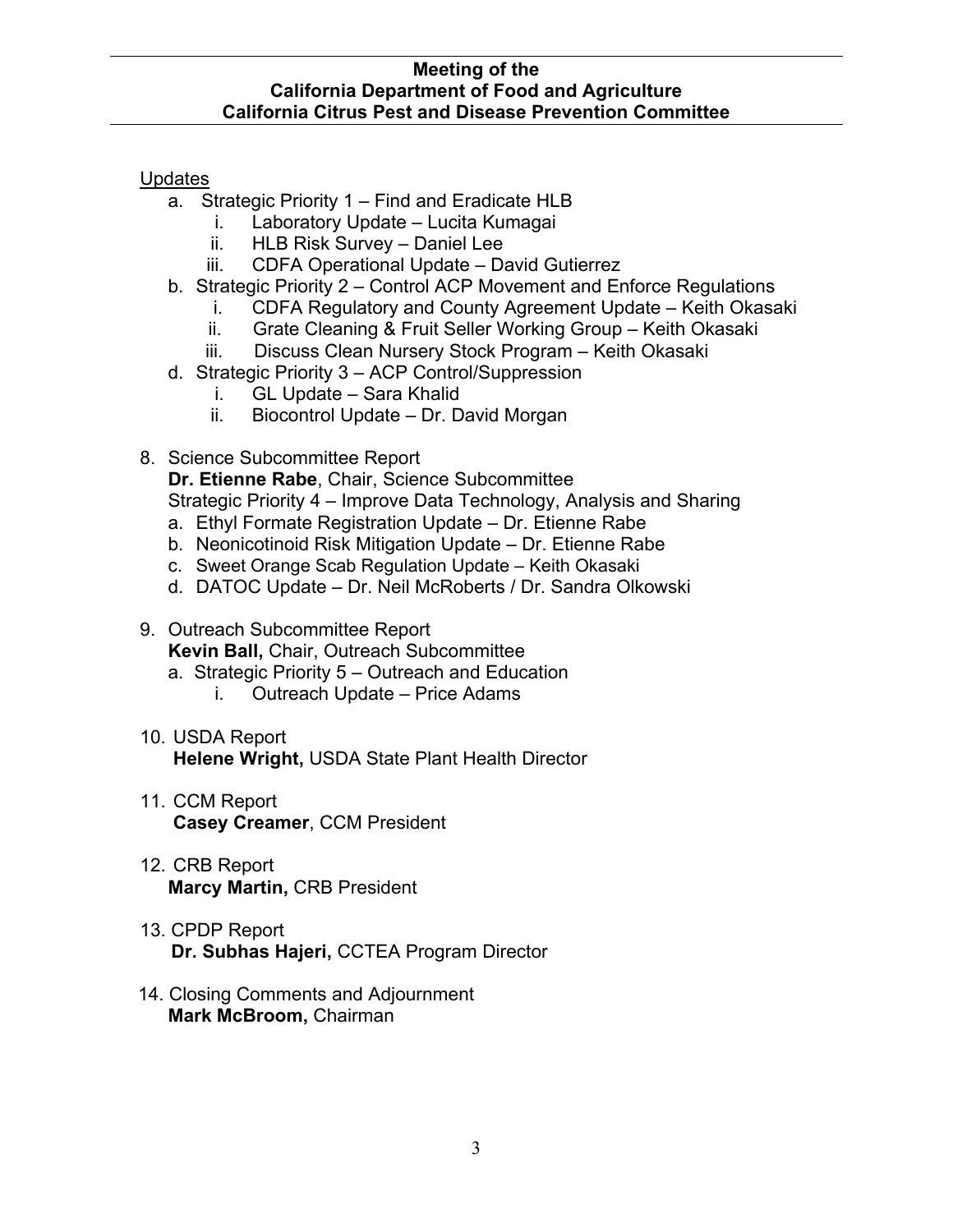## Updates

- a. Strategic Priority 1 Find and Eradicate HLB
	- i. Laboratory Update Lucita Kumagai
	- ii. HLB Risk Survey Daniel Lee
	- iii. CDFA Operational Update David Gutierrez
- b. Strategic Priority 2 Control ACP Movement and Enforce Regulations
	- i. CDFA Regulatory and County Agreement Update Keith Okasaki
	- ii. Grate Cleaning & Fruit Seller Working Group – Keith Okasaki
	- iii. Discuss Clean Nursery Stock Program Keith Okasaki
- d. Strategic Priority 3 ACP Control/Suppression
	- i. GL Update Sara Khalid
	- ii. Biocontrol Update Dr. David Morgan
- 8. Science Subcommittee Report

**Dr. Etienne Rabe**, Chair, Science Subcommittee Strategic Priority 4 – Improve Data Technology, Analysis and Sharing

- a. Ethyl Formate Registration Update Dr. Etienne Rabe
- b. Neonicotinoid Risk Mitigation Update Dr. Etienne Rabe
- c. Sweet Orange Scab Regulation Update Keith Okasaki
- d. DATOC Update Dr. Neil McRoberts / Dr. Sandra Olkowski

## 9. Outreach Subcommittee Report **Kevin Ball,** Chair, Outreach Subcommittee

- a. Strategic Priority 5 Outreach and Education
	- i. Outreach Update Price Adams
- 10. USDA Report **Helene Wright,** USDA State Plant Health Director
- 11. CCM Report **Casey Creamer**, CCM President
- 12. CRB Report **Marcy Martin,** CRB President
- 13. CPDP Report **Dr. Subhas Hajeri,** CCTEA Program Director
- **Mark McBroom,** Chairman 14. Closing Comments and Adjournment